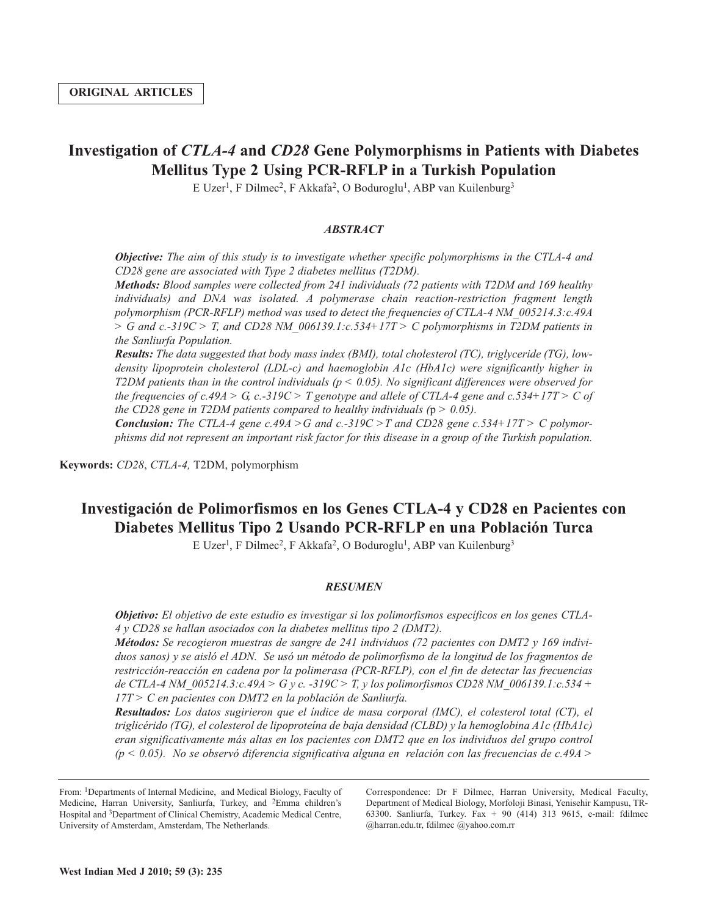# **Investigation of** *CTLA-4* **and** *CD28* **Gene Polymorphisms in Patients with Diabetes Mellitus Type 2 Using PCR-RFLP in a Turkish Population**

E Uzer<sup>1</sup>, F Dilmec<sup>2</sup>, F Akkafa<sup>2</sup>, O Boduroglu<sup>1</sup>, ABP van Kuilenburg<sup>3</sup>

# *ABSTRACT*

*Objective: The aim of this study is to investigate whether specific polymorphisms in the CTLA-4 and CD28 gene are associated with Type 2 diabetes mellitus (T2DM).*

*Methods: Blood samples were collected from 241 individuals (72 patients with T2DM and 169 healthy individuals) and DNA was isolated. A polymerase chain reaction-restriction fragment length polymorphism (PCR-RFLP) method was used to detect the frequencies of CTLA-4 NM\_005214.3:c.49A > G and c.-319C > T, and CD28 NM\_006139.1:c.534+17T > C polymorphisms in T2DM patients in the Sanliurfa Population.*

*Results: The data suggested that body mass index (BMI), total cholesterol (TC), triglyceride (TG), lowdensity lipoprotein cholesterol (LDL-c) and haemoglobin A1c (HbA1c) were significantly higher in T2DM patients than in the control individuals (p < 0.05). No significant differences were observed for* the frequencies of c.49A > G, c.-319C > T genotype and allele of CTLA-4 gene and c.534+17T > C of *the CD28 gene in T2DM patients compared to healthy individuals (*p *> 0.05).*

*Conclusion: The CTLA-4 gene c.49A > G and c.-319C > T and CD28 gene c.534+17T > C polymor*phisms did not represent an important risk factor for this disease in a group of the Turkish population.

**Keywords:** *CD28*, *CTLA-4,* T2DM, polymorphism

# **Investigación de Polimorfismos en los Genes CTLA-4 y CD28 en Pacientes con Diabetes Mellitus Tipo 2 Usando PCR-RFLP en una Población Turca**

E Uzer<sup>1</sup>, F Dilmec<sup>2</sup>, F Akkafa<sup>2</sup>, O Boduroglu<sup>1</sup>, ABP van Kuilenburg<sup>3</sup>

### *RESUMEN*

*Objetivo: El objetivo de este estudio es investigar si los polimorfismos específicos en los genes CTLA-4 y CD28 se hallan asociados con la diabetes mellitus tipo 2 (DMT2).*

*Métodos: Se recogieron muestras de sangre de 241 individuos (72 pacientes con DMT2 y 169 indivi*duos sanos) y se aisló el ADN. Se usó un método de polimorfismo de la longitud de los fragmentos de *restricción-reacción en cadena por la polimerasa (PCR-RFLP), con el fin de detectar las frecuencias de CTLA-4 NM\_005214.3:c.49A > G y c. -319C > T, y los polimorfismos CD28 NM\_006139.1:c.534 + 17T > C en pacientes con DMT2 en la población de Sanliurfa.*

*Resultados: Los datos sugirieron que el índice de masa corporal (IMC), el colesterol total (CT), el triglicérido (TG), el colesterol de lipoproteína de baja densidad (CLBD) y la hemoglobina A1c (HbA1c) eran significativamente más altas en los pacientes con DMT2 que en los individuos del grupo control (p < 0.05). No se observó diferencia significativa alguna en relación con las frecuencias de c.49A >*

From: 1Departments of Internal Medicine, and Medical Biology, Faculty of Medicine, Harran University, Sanliurfa, Turkey, and 2Emma children's Hospital and 3Department of Clinical Chemistry, Academic Medical Centre, University of Amsterdam, Amsterdam, The Netherlands.

Correspondence: Dr F Dilmec, Harran University, Medical Faculty, Department of Medical Biology, Morfoloji Binasi, Yenisehir Kampusu, TR-63300. Sanliurfa, Turkey. Fax + 90 (414) 313 9615, e-mail: fdilmec @harran.edu.tr, fdilmec @yahoo.com.rr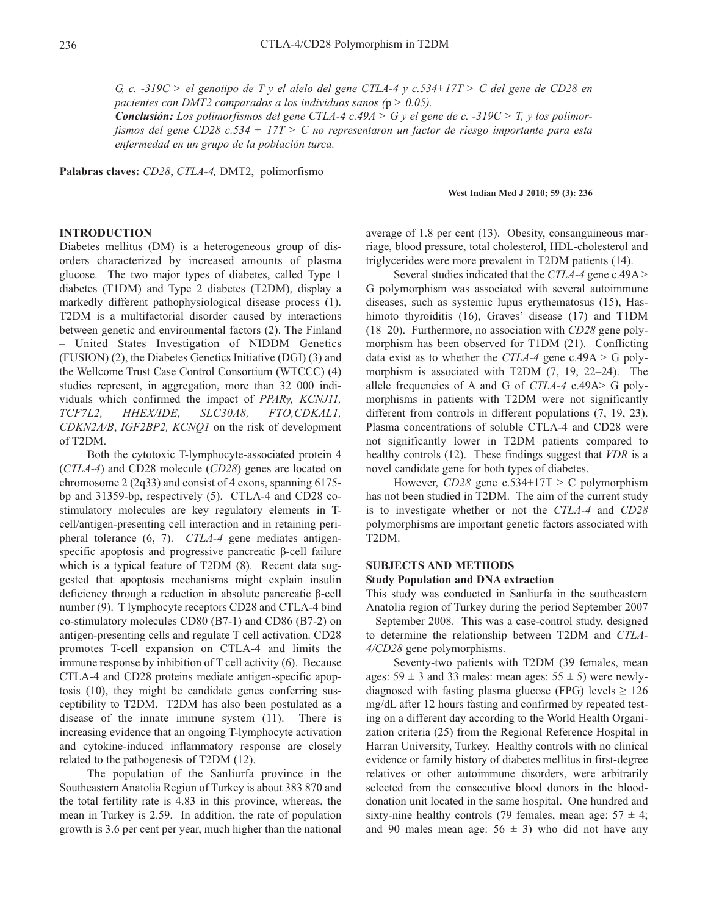G, c. -319C > el genotipo de T y el alelo del gene CTLA-4 y c.534+17T > C del gene de CD28 en *pacientes con DMT2 comparados a los individuos sanos (*p *> 0.05).*

**Conclusión:** Los polimorfismos del gene CTLA-4 c.49A > G y el gene de c. -319C > T, y los polimor*fismos del gene CD28 c.534 + 17T > C no representaron un factor de riesgo importante para esta enfermedad en un grupo de la población turca.*

**Palabras claves:** *CD28*, *CTLA-4,* DMT2, polimorfismo

#### **West Indian Med J 2010; 59 (3): 236**

# **INTRODUCTION**

Diabetes mellitus (DM) is a heterogeneous group of disorders characterized by increased amounts of plasma glucose. The two major types of diabetes, called Type 1 diabetes (T1DM) and Type 2 diabetes (T2DM), display a markedly different pathophysiological disease process (1). T2DM is a multifactorial disorder caused by interactions between genetic and environmental factors (2). The Finland – United States Investigation of NIDDM Genetics (FUSION) (2), the Diabetes Genetics Initiative (DGI) (3) and the Wellcome Trust Case Control Consortium (WTCCC) (4) studies represent, in aggregation, more than 32 000 individuals which confirmed the impact of *PPARγ, KCNJ11, TCF7L2, HHEX/IDE, SLC30A8, FTO,CDKAL1, CDKN2A/B*, *IGF2BP2, KCNQ1* on the risk of development of T2DM.

Both the cytotoxic T-lymphocyte-associated protein 4 (*CTLA-4*) and CD28 molecule (*CD28*) genes are located on chromosome 2 (2q33) and consist of 4 exons, spanning 6175 bp and 31359-bp, respectively (5). CTLA-4 and CD28 costimulatory molecules are key regulatory elements in Tcell/antigen-presenting cell interaction and in retaining peripheral tolerance (6, 7). *CTLA-4* gene mediates antigenspecific apoptosis and progressive pancreatic β-cell failure which is a typical feature of T2DM (8). Recent data suggested that apoptosis mechanisms might explain insulin deficiency through a reduction in absolute pancreatic β-cell number (9). T lymphocyte receptors CD28 and CTLA-4 bind co-stimulatory molecules CD80 (B7-1) and CD86 (B7-2) on antigen-presenting cells and regulate T cell activation. CD28 promotes T-cell expansion on CTLA-4 and limits the immune response by inhibition of T cell activity (6). Because CTLA-4 and CD28 proteins mediate antigen-specific apoptosis (10), they might be candidate genes conferring susceptibility to T2DM. T2DM has also been postulated as a disease of the innate immune system (11). There is increasing evidence that an ongoing T-lymphocyte activation and cytokine-induced inflammatory response are closely related to the pathogenesis of T2DM (12).

The population of the Sanliurfa province in the Southeastern Anatolia Region of Turkey is about 383 870 and the total fertility rate is 4.83 in this province, whereas, the mean in Turkey is 2.59. In addition, the rate of population growth is 3.6 per cent per year, much higher than the national average of 1.8 per cent (13). Obesity, consanguineous marriage, blood pressure, total cholesterol, HDL-cholesterol and triglycerides were more prevalent in T2DM patients (14).

Several studies indicated that the *CTLA-4* gene c.49A > G polymorphism was associated with several autoimmune diseases, such as systemic lupus erythematosus (15), Hashimoto thyroiditis (16), Graves' disease (17) and T1DM (18–20). Furthermore, no association with *CD28* gene polymorphism has been observed for T1DM (21). Conflicting data exist as to whether the *CTLA-4* gene c.49A > G polymorphism is associated with T2DM (7, 19, 22–24). The allele frequencies of A and G of *CTLA-4* c.49A> G polymorphisms in patients with T2DM were not significantly different from controls in different populations (7, 19, 23). Plasma concentrations of soluble CTLA-4 and CD28 were not significantly lower in T2DM patients compared to healthy controls (12). These findings suggest that *VDR* is a novel candidate gene for both types of diabetes.

However, *CD28* gene c.534+17T > C polymorphism has not been studied in T2DM. The aim of the current study is to investigate whether or not the *CTLA-4* and *CD28* polymorphisms are important genetic factors associated with T2DM.

# **SUBJECTS AND METHODS**

#### **Study Population and DNA extraction**

This study was conducted in Sanliurfa in the southeastern Anatolia region of Turkey during the period September 2007 – September 2008. This was a case-control study, designed to determine the relationship between T2DM and *CTLA-4/CD28* gene polymorphisms.

Seventy-two patients with T2DM (39 females, mean ages:  $59 \pm 3$  and 33 males: mean ages:  $55 \pm 5$ ) were newlydiagnosed with fasting plasma glucose (FPG) levels  $\geq 126$ mg/dL after 12 hours fasting and confirmed by repeated testing on a different day according to the World Health Organization criteria (25) from the Regional Reference Hospital in Harran University, Turkey. Healthy controls with no clinical evidence or family history of diabetes mellitus in first-degree relatives or other autoimmune disorders, were arbitrarily selected from the consecutive blood donors in the blooddonation unit located in the same hospital. One hundred and sixty-nine healthy controls (79 females, mean age:  $57 \pm 4$ ; and 90 males mean age:  $56 \pm 3$ ) who did not have any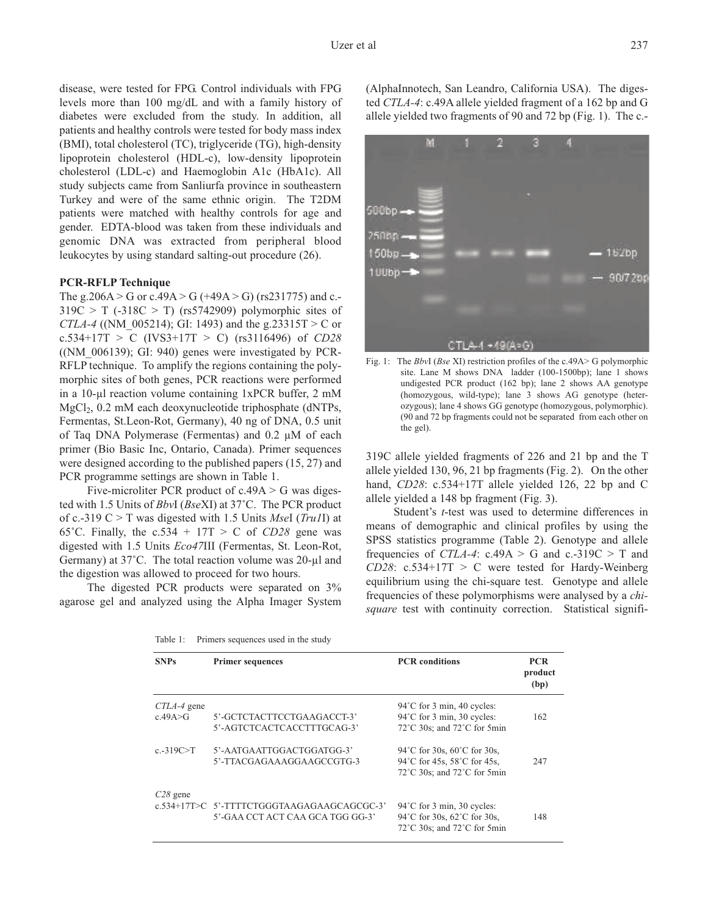disease, were tested for FPG. Control individuals with FPG levels more than 100 mg/dL and with a family history of diabetes were excluded from the study. In addition, all patients and healthy controls were tested for body mass index (BMI), total cholesterol (TC), triglyceride (TG), high-density lipoprotein cholesterol (HDL-c), low-density lipoprotein cholesterol (LDL-c) and Haemoglobin A1c (HbA1c). All study subjects came from Sanliurfa province in southeastern Turkey and were of the same ethnic origin. The T2DM patients were matched with healthy controls for age and gender. EDTA-blood was taken from these individuals and genomic DNA was extracted from peripheral blood leukocytes by using standard salting-out procedure (26).

#### **PCR-RFLP Technique**

The g.206A > G or c.49A > G (+49A > G) (rs231775) and c.- $319C > T$  (-318C > T) (rs5742909) polymorphic sites of *CTLA-4* ((NM\_005214); GI: 1493) and the g.23315T > C or c.534+17T > C (IVS3+17T > C) (rs3116496) of *CD28*  $(NM_006139)$ ; GI: 940) genes were investigated by PCR-RFLP technique. To amplify the regions containing the polymorphic sites of both genes, PCR reactions were performed in a 10-µl reaction volume containing 1xPCR buffer, 2 mM  $MgCl<sub>2</sub>$ , 0.2 mM each deoxynucleotide triphosphate (dNTPs, Fermentas, St.Leon-Rot, Germany), 40 ng of DNA, 0.5 unit of Taq DNA Polymerase (Fermentas) and 0.2 µM of each primer (Bio Basic Inc, Ontario, Canada). Primer sequences were designed according to the published papers (15, 27) and PCR programme settings are shown in Table 1.

Five-microliter PCR product of  $c.49A > G$  was digested with 1.5 Units of *Bbv*I (*Bse*XI) at 37˚C. The PCR product of c.-319 C > T was digested with 1.5 Units *Mse*I (*Tru1*I) at 65°C. Finally, the  $c.534 + 17T > C$  of *CD28* gene was digested with 1.5 Units *Eco47*III (Fermentas, St. Leon-Rot, Germany) at 37˚C. The total reaction volume was 20-µl and the digestion was allowed to proceed for two hours.

The digested PCR products were separated on 3% agarose gel and analyzed using the Alpha Imager System

Table 1: Primers sequences used in the study

(AlphaInnotech, San Leandro, California USA). The digested *CTLA-4*: c.49A allele yielded fragment of a 162 bp and G allele yielded two fragments of 90 and 72 bp (Fig. 1). The c.-



Fig. 1: The *Bbv*I (*Bse* XI) restriction profiles of the c.49A> G polymorphic site. Lane M shows DNA ladder (100-1500bp); lane 1 shows undigested PCR product (162 bp); lane 2 shows AA genotype (homozygous, wild-type); lane 3 shows AG genotype (heterozygous); lane 4 shows GG genotype (homozygous, polymorphic). (90 and 72 bp fragments could not be separated from each other on the gel).

319C allele yielded fragments of 226 and 21 bp and the T allele yielded 130, 96, 21 bp fragments (Fig. 2). On the other hand, *CD28*: c.534+17T allele yielded 126, 22 bp and C allele yielded a 148 bp fragment (Fig. 3).

Student's *t*-test was used to determine differences in means of demographic and clinical profiles by using the SPSS statistics programme (Table 2). Genotype and allele frequencies of *CTLA-4*:  $c.49A > G$  and  $c.319C > T$  and *CD28*: c.534+17T > C were tested for Hardy-Weinberg equilibrium using the chi-square test. Genotype and allele frequencies of these polymorphisms were analysed by a *chisquare* test with continuity correction. Statistical signifi-

| <b>SNPs</b>                | <b>Primer sequences</b>                                                        | <b>PCR</b> conditions                                                                                                 | <b>PCR</b><br>product<br>(bp) |
|----------------------------|--------------------------------------------------------------------------------|-----------------------------------------------------------------------------------------------------------------------|-------------------------------|
| $CTLA-4$ gene<br>c.49A > G | 5'-GCTCTACTTCCTGAAGACCT-3'<br>5'-AGTCTCACTCACCTTTGCAG-3'                       | $94^{\circ}$ C for 3 min, 40 cycles:<br>94°C for 3 min, 30 cycles:<br>$72^{\circ}$ C 30s; and $72^{\circ}$ C for 5min | 162                           |
| $c - 319C > T$             | 5'-AATGAATTGGACTGGATGG-3'<br>5'-TTACGAGAAAGGAAGCCGTG-3                         | 94 °C for 30s, 60 °C for 30s,<br>94°C for 45s, 58°C for 45s,<br>$72^{\circ}$ C 30s; and $72^{\circ}$ C for 5min       | 247                           |
| $C28$ gene                 | c.534+17T>C 5'-TTTTCTGGGTAAGAGAAGCAGCGC-3'<br>5'-GAA CCT ACT CAA GCA TGG GG-3' | $94^{\circ}$ C for 3 min, 30 cycles:<br>94°C for 30s, 62°C for 30s,<br>72°C 30s; and 72°C for 5min                    | 148                           |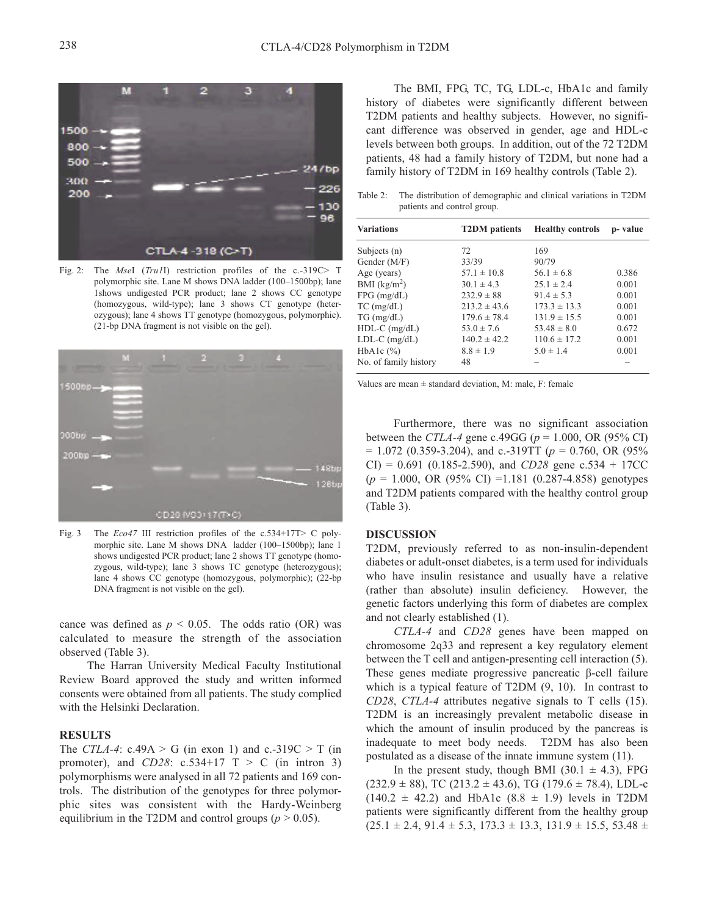

Fig. 2: The *Mse*I (*Tru1*I) restriction profiles of the c.-319C> T polymorphic site. Lane M shows DNA ladder (100–1500bp); lane 1shows undigested PCR product; lane 2 shows CC genotype (homozygous, wild-type); lane 3 shows CT genotype (heterozygous); lane 4 shows TT genotype (homozygous, polymorphic). (21-bp DNA fragment is not visible on the gel).



Fig. 3 The *Eco47* III restriction profiles of the c.534+17T> C polymorphic site. Lane M shows DNA ladder (100–1500bp); lane 1 shows undigested PCR product; lane 2 shows TT genotype (homozygous, wild-type); lane 3 shows TC genotype (heterozygous); lane 4 shows CC genotype (homozygous, polymorphic); (22-bp DNA fragment is not visible on the gel).

cance was defined as  $p < 0.05$ . The odds ratio (OR) was calculated to measure the strength of the association observed (Table 3).

The Harran University Medical Faculty Institutional Review Board approved the study and written informed consents were obtained from all patients. The study complied with the Helsinki Declaration.

# **RESULTS**

The *CTLA-4*: c.49A > G (in exon 1) and c.-319C > T (in promoter), and  $CD28$ :  $c.534+17$  T > C (in intron 3) polymorphisms were analysed in all 72 patients and 169 controls. The distribution of the genotypes for three polymorphic sites was consistent with the Hardy-Weinberg equilibrium in the T2DM and control groups ( $p > 0.05$ ).

The BMI, FPG, TC, TG, LDL-c, HbA1c and family history of diabetes were significantly different between T2DM patients and healthy subjects. However, no significant difference was observed in gender, age and HDL-c levels between both groups. In addition, out of the 72 T2DM patients, 48 had a family history of T2DM, but none had a family history of T2DM in 169 healthy controls (Table 2).

Table 2: The distribution of demographic and clinical variations in T2DM patients and control group.

| <b>Variations</b>     | <b>T2DM</b> patients | <b>Healthy controls</b> | p-value |
|-----------------------|----------------------|-------------------------|---------|
| Subjects $(n)$        | 72                   | 169                     |         |
| Gender (M/F)          | 33/39                | 90/79                   |         |
| Age (years)           | $57.1 \pm 10.8$      | $56.1 \pm 6.8$          | 0.386   |
| BMI $(kg/m2)$         | $30.1 \pm 4.3$       | $25.1 \pm 2.4$          | 0.001   |
| $FPG$ (mg/dL)         | $232.9 \pm 88$       | $91.4 \pm 5.3$          | 0.001   |
| $TC$ (mg/dL)          | $213.2 \pm 43.6$     | $173.3 \pm 13.3$        | 0.001   |
| $TG \, (mg/dL)$       | $179.6 \pm 78.4$     | $131.9 \pm 15.5$        | 0.001   |
| HDL-C (mg/dL)         | $53.0 \pm 7.6$       | $53.48 \pm 8.0$         | 0.672   |
| $LDL-C$ (mg/dL)       | $140.2 \pm 42.2$     | $110.6 \pm 17.2$        | 0.001   |
| HbA1c $(\%)$          | $8.8 \pm 1.9$        | $5.0 \pm 1.4$           | 0.001   |
| No. of family history | 48                   |                         |         |

Values are mean  $\pm$  standard deviation, M: male, F: female

Furthermore, there was no significant association between the *CTLA-4* gene c.49GG (*p* = 1.000, OR (95% CI)  $= 1.072$  (0.359-3.204), and c.-319TT ( $p = 0.760$ , OR (95%)  $CI$ ) = 0.691 (0.185-2.590), and *CD28* gene c.534 + 17CC (*p* = 1.000, OR (95% CI) =1.181 (0.287-4.858) genotypes and T2DM patients compared with the healthy control group (Table 3).

# **DISCUSSION**

T2DM, previously referred to as non-insulin-dependent diabetes or adult-onset diabetes, is a term used for individuals who have insulin resistance and usually have a relative (rather than absolute) insulin deficiency. However, the genetic factors underlying this form of diabetes are complex and not clearly established (1).

*CTLA-4* and *CD28* genes have been mapped on chromosome 2q33 and represent a key regulatory element between the T cell and antigen-presenting cell interaction (5). These genes mediate progressive pancreatic β-cell failure which is a typical feature of T2DM (9, 10). In contrast to *CD28*, *CTLA-4* attributes negative signals to T cells (15). T2DM is an increasingly prevalent metabolic disease in which the amount of insulin produced by the pancreas is inadequate to meet body needs. T2DM has also been postulated as a disease of the innate immune system (11).

In the present study, though BMI (30.1  $\pm$  4.3), FPG  $(232.9 \pm 88)$ , TC  $(213.2 \pm 43.6)$ , TG  $(179.6 \pm 78.4)$ , LDL-c  $(140.2 \pm 42.2)$  and HbA1c  $(8.8 \pm 1.9)$  levels in T2DM patients were significantly different from the healthy group  $(25.1 \pm 2.4, 91.4 \pm 5.3, 173.3 \pm 13.3, 131.9 \pm 15.5, 53.48 \pm 13.3)$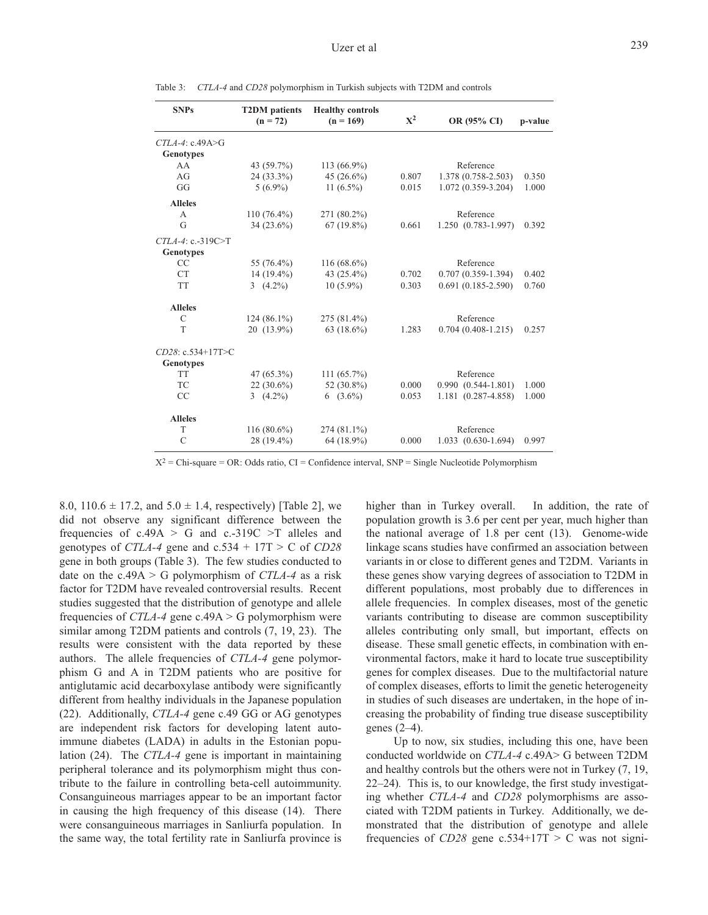| <b>SNPs</b>                       | <b>T2DM</b> patients<br>$(n = 72)$ | <b>Healthy controls</b><br>$(n = 169)$ | $X^2$ | OR (95% CI)             | p-value |
|-----------------------------------|------------------------------------|----------------------------------------|-------|-------------------------|---------|
| $CTLA-4$ : c.49A>G<br>Genotypes   |                                    |                                        |       |                         |         |
| AA                                | 43 (59.7%)                         | $113(66.9\%)$                          |       | Reference               |         |
| AG                                | 24 (33.3%)                         | 45 $(26.6\%)$                          | 0.807 | 1.378 (0.758-2.503)     | 0.350   |
| GG                                | $5(6.9\%)$                         | 11 $(6.5\%)$                           | 0.015 | 1.072 (0.359-3.204)     | 1.000   |
| <b>Alleles</b>                    |                                    |                                        |       |                         |         |
| A                                 | $110(76.4\%)$                      | 271 (80.2%)                            |       | Reference               |         |
| G                                 | $34(23.6\%)$                       | $67(19.8\%)$                           | 0.661 | 1.250 (0.783-1.997)     | 0.392   |
| $CTLA-4$ : c.-319C>T<br>Genotypes |                                    |                                        |       |                         |         |
| CC                                | 55 (76.4%)                         | $116(68.6\%)$                          |       | Reference               |         |
| <b>CT</b>                         | 14 (19.4%)                         | 43 $(25.4\%)$                          | 0.702 | $0.707(0.359-1.394)$    | 0.402   |
| <b>TT</b>                         | 3 $(4.2\%)$                        | $10(5.9\%)$                            | 0.303 | $0.691(0.185 - 2.590)$  | 0.760   |
| <b>Alleles</b>                    |                                    |                                        |       |                         |         |
| C                                 | $124(86.1\%)$                      | 275 (81.4%)                            |       | Reference               |         |
| T                                 | 20 (13.9%)                         | 63 $(18.6\%)$                          | 1.283 | $0.704(0.408-1.215)$    | 0.257   |
| CD28: c.534+17T>C<br>Genotypes    |                                    |                                        |       |                         |         |
| <b>TT</b>                         | 47 (65.3%)                         | $111(65.7\%)$                          |       | Reference               |         |
| TC                                | $22(30.6\%)$                       | 52 $(30.8\%)$                          | 0.000 | $0.990(0.544 - 1.801)$  | 1.000   |
| CC                                | 3 $(4.2\%)$                        | $6(3.6\%)$                             | 0.053 | 1.181 (0.287-4.858)     | 1.000   |
| <b>Alleles</b>                    |                                    |                                        |       |                         |         |
| T                                 | $116(80.6\%)$                      | $274(81.1\%)$                          |       | Reference               |         |
| $\mathcal{C}$                     | 28 (19.4%)                         | 64 (18.9%)                             | 0.000 | $1.033$ $(0.630-1.694)$ | 0.997   |
|                                   |                                    |                                        |       |                         |         |

Table 3: *CTLA-4* and *CD28* polymorphism in Turkish subjects with T2DM and controls

 $X^2$  = Chi-square = OR: Odds ratio, CI = Confidence interval, SNP = Single Nucleotide Polymorphism

8.0,  $110.6 \pm 17.2$ , and  $5.0 \pm 1.4$ , respectively) [Table 2], we did not observe any significant difference between the frequencies of  $c.49A > G$  and  $c.-319C > T$  alleles and genotypes of *CTLA-4* gene and  $c.534 + 17T > C$  of *CD28* gene in both groups (Table 3). The few studies conducted to date on the c.49A > G polymorphism of *CTLA-4* as a risk factor for T2DM have revealed controversial results. Recent studies suggested that the distribution of genotype and allele frequencies of *CTLA-4* gene c.49A > G polymorphism were similar among T2DM patients and controls (7, 19, 23). The results were consistent with the data reported by these authors. The allele frequencies of *CTLA-4* gene polymorphism G and A in T2DM patients who are positive for antiglutamic acid decarboxylase antibody were significantly different from healthy individuals in the Japanese population (22). Additionally, *CTLA-4* gene c.49 GG or AG genotypes are independent risk factors for developing latent autoimmune diabetes (LADA) in adults in the Estonian population (24). The *CTLA-4* gene is important in maintaining peripheral tolerance and its polymorphism might thus contribute to the failure in controlling beta-cell autoimmunity. Consanguineous marriages appear to be an important factor in causing the high frequency of this disease (14). There were consanguineous marriages in Sanliurfa population. In the same way, the total fertility rate in Sanliurfa province is higher than in Turkey overall. In addition, the rate of population growth is 3.6 per cent per year, much higher than the national average of 1.8 per cent (13). Genome-wide linkage scans studies have confirmed an association between variants in or close to different genes and T2DM. Variants in these genes show varying degrees of association to T2DM in different populations, most probably due to differences in allele frequencies. In complex diseases, most of the genetic variants contributing to disease are common susceptibility alleles contributing only small, but important, effects on disease. These small genetic effects, in combination with environmental factors, make it hard to locate true susceptibility genes for complex diseases. Due to the multifactorial nature of complex diseases, efforts to limit the genetic heterogeneity in studies of such diseases are undertaken, in the hope of increasing the probability of finding true disease susceptibility genes (2–4).

Up to now, six studies, including this one, have been conducted worldwide on *CTLA-4* c.49A> G between T2DM and healthy controls but the others were not in Turkey (7, 19, 22–24)*.* This is, to our knowledge, the first study investigating whether *CTLA-4* and *CD28* polymorphisms are associated with T2DM patients in Turkey. Additionally, we demonstrated that the distribution of genotype and allele frequencies of  $CD28$  gene  $c.534+17T > C$  was not signi